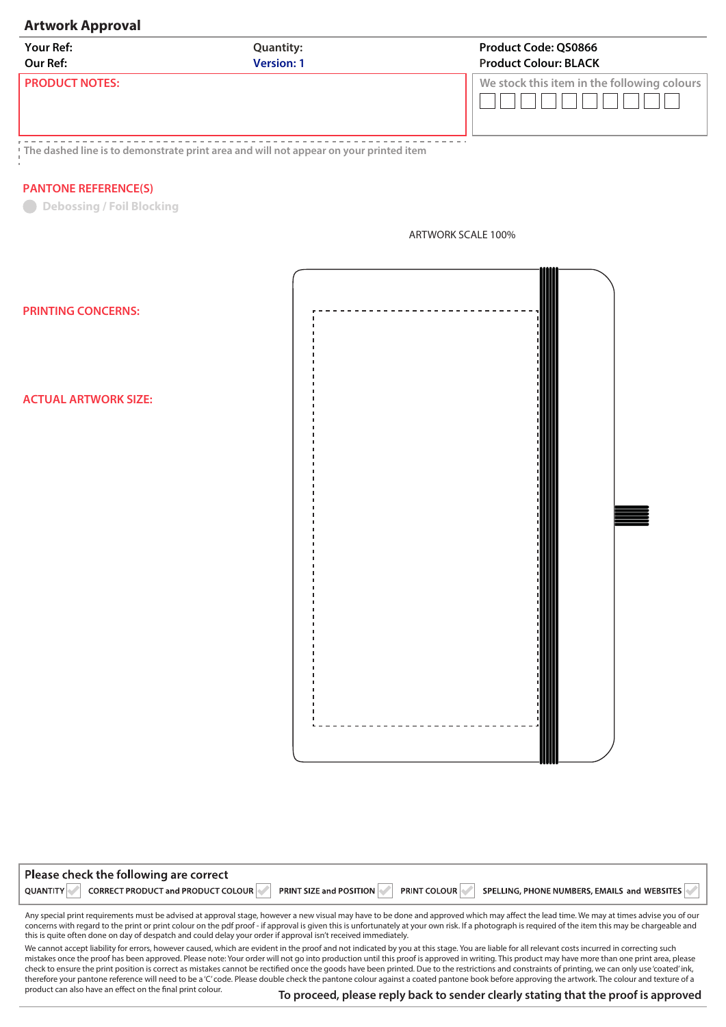## **Artwork Approval**

| <b>Your Ref:</b>      | <b>Quantity:</b>  | <b>Product Code: QS0866</b>                     |
|-----------------------|-------------------|-------------------------------------------------|
| Our Ref:              | <b>Version: 1</b> | <b>Product Colour: BLACK</b>                    |
| <b>PRODUCT NOTES:</b> |                   | We stock this item in the following colours $ $ |

**The dashed line is to demonstrate print area and will not appear on your printed item**

## **PANTONE REFERENCE(S)**

**Debossing / Foil Blocking** 



**PRINTING CONCERNS:** 

**ACTUAL ARTWORK SIZE:** 

| <b>QUANTITY</b><br><b>PRINT COLOUR</b><br><b>PRINT SIZE and POSITION</b><br>CORRECT PRODUCT and PRODUCT COLOUR<br>SPELLING, PHONE NUMBERS, EMAILS and WEBSITES | Please check the following are correct |  |
|----------------------------------------------------------------------------------------------------------------------------------------------------------------|----------------------------------------|--|
|                                                                                                                                                                |                                        |  |

Any special print requirements must be advised at approval stage, however a new visual may have to be done and approved which may affect the lead time. We may at times advise you of our concerns with regard to the print or print colour on the pdf proof - if approval is given this is unfortunately at your own risk. If a photograph is required of the item this may be chargeable and this is quite often done on day of despatch and could delay your order if approval isn't received immediately.

We cannot accept liability for errors, however caused, which are evident in the proof and not indicated by you at this stage. You are liable for all relevant costs incurred in correcting such mistakes once the proof has been approved. Please note: Your order will not go into production until this proof is approved in writing. This product may have more than one print area, please check to ensure the print position is correct as mistakes cannot be rectied once the goods have been printed. Due to the restrictions and constraints of printing, we can only use 'coated' ink, therefore your pantone reference will need to be a 'C' code. Please double check the pantone colour against a coated pantone book before approving the artwork. The colour and texture of a product can also have an effect on the final print colour.